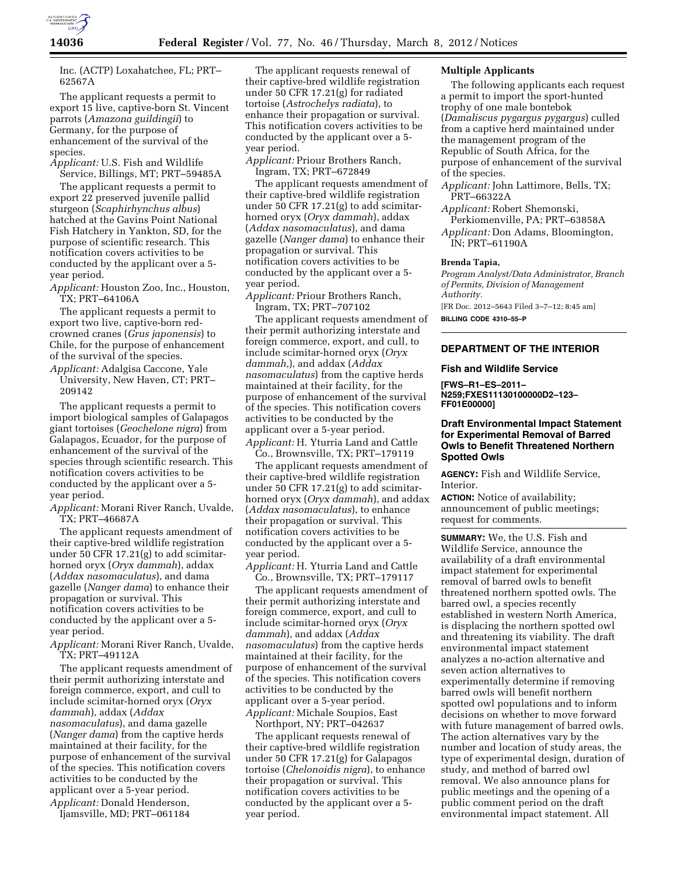

Inc. (ACTP) Loxahatchee, FL; PRT– 62567A

The applicant requests a permit to export 15 live, captive-born St. Vincent parrots (*Amazona guildingii*) to Germany, for the purpose of enhancement of the survival of the species.

*Applicant:* U.S. Fish and Wildlife Service, Billings, MT; PRT–59485A

The applicant requests a permit to export 22 preserved juvenile pallid sturgeon (*Scaphirhynchus albus*) hatched at the Gavins Point National Fish Hatchery in Yankton, SD, for the purpose of scientific research. This notification covers activities to be conducted by the applicant over a 5 year period.

*Applicant:* Houston Zoo, Inc., Houston, TX; PRT–64106A

The applicant requests a permit to export two live, captive-born redcrowned cranes (*Grus japonensis*) to Chile, for the purpose of enhancement of the survival of the species.

*Applicant:* Adalgisa Caccone, Yale University, New Haven, CT; PRT– 209142

The applicant requests a permit to import biological samples of Galapagos giant tortoises (*Geochelone nigra*) from Galapagos, Ecuador, for the purpose of enhancement of the survival of the species through scientific research. This notification covers activities to be conducted by the applicant over a 5 year period.

*Applicant:* Morani River Ranch, Uvalde, TX; PRT–46687A

The applicant requests amendment of their captive-bred wildlife registration under 50 CFR 17.21(g) to add scimitarhorned oryx (*Oryx dammah*), addax (*Addax nasomaculatus*), and dama gazelle (*Nanger dama*) to enhance their propagation or survival. This notification covers activities to be conducted by the applicant over a 5 year period.

*Applicant:* Morani River Ranch, Uvalde, TX; PRT–49112A

The applicant requests amendment of their permit authorizing interstate and foreign commerce, export, and cull to include scimitar-horned oryx (*Oryx dammah*), addax (*Addax nasomaculatus*), and dama gazelle (*Nanger dama*) from the captive herds maintained at their facility, for the purpose of enhancement of the survival of the species. This notification covers activities to be conducted by the applicant over a 5-year period.

*Applicant:* Donald Henderson, Ijamsville, MD; PRT–061184

The applicant requests renewal of their captive-bred wildlife registration under 50 CFR 17.21(g) for radiated tortoise (*Astrochelys radiata*), to enhance their propagation or survival. This notification covers activities to be conducted by the applicant over a 5 year period.

*Applicant:* Priour Brothers Ranch, Ingram, TX; PRT–672849

The applicant requests amendment of their captive-bred wildlife registration under 50 CFR 17.21(g) to add scimitarhorned oryx (*Oryx dammah*), addax (*Addax nasomaculatus*), and dama gazelle (*Nanger dama*) to enhance their propagation or survival. This notification covers activities to be conducted by the applicant over a 5 year period.

*Applicant:* Priour Brothers Ranch, Ingram, TX; PRT–707102

The applicant requests amendment of their permit authorizing interstate and foreign commerce, export, and cull, to include scimitar-horned oryx (*Oryx dammah,*), and addax (*Addax nasomaculatus*) from the captive herds maintained at their facility, for the purpose of enhancement of the survival of the species. This notification covers activities to be conducted by the applicant over a 5-year period. *Applicant:* H. Yturria Land and Cattle

Co., Brownsville, TX; PRT–179119

The applicant requests amendment of their captive-bred wildlife registration under 50 CFR 17.21(g) to add scimitarhorned oryx (*Oryx dammah*), and addax (*Addax nasomaculatus*), to enhance their propagation or survival. This notification covers activities to be conducted by the applicant over a 5 year period.

*Applicant:* H. Yturria Land and Cattle Co., Brownsville, TX; PRT–179117

The applicant requests amendment of their permit authorizing interstate and foreign commerce, export, and cull to include scimitar-horned oryx (*Oryx dammah*), and addax (*Addax nasomaculatus*) from the captive herds maintained at their facility, for the purpose of enhancement of the survival of the species. This notification covers activities to be conducted by the applicant over a 5-year period. *Applicant:* Michale Soupios, East

Northport, NY; PRT–042637 The applicant requests renewal of their captive-bred wildlife registration under 50 CFR 17.21(g) for Galapagos tortoise (*Chelonoidis nigra*), to enhance their propagation or survival. This notification covers activities to be conducted by the applicant over a 5 year period.

# **Multiple Applicants**

The following applicants each request a permit to import the sport-hunted trophy of one male bontebok (*Damaliscus pygargus pygargus*) culled from a captive herd maintained under the management program of the Republic of South Africa, for the purpose of enhancement of the survival of the species.

- *Applicant:* John Lattimore, Bells, TX; PRT–66322A
- *Applicant:* Robert Shemonski, Perkiomenville, PA; PRT–63858A *Applicant:* Don Adams, Bloomington, IN; PRT–61190A

# **Brenda Tapia,**

*Program Analyst/Data Administrator, Branch of Permits, Division of Management Authority.* 

[FR Doc. 2012–5643 Filed 3–7–12; 8:45 am] **BILLING CODE 4310–55–P** 

## **DEPARTMENT OF THE INTERIOR**

#### **Fish and Wildlife Service**

**[FWS–R1–ES–2011– N259;FXES11130100000D2–123– FF01E00000]** 

# **Draft Environmental Impact Statement for Experimental Removal of Barred Owls to Benefit Threatened Northern Spotted Owls**

**AGENCY:** Fish and Wildlife Service, Interior.

**ACTION:** Notice of availability; announcement of public meetings; request for comments.

**SUMMARY:** We, the U.S. Fish and Wildlife Service, announce the availability of a draft environmental impact statement for experimental removal of barred owls to benefit threatened northern spotted owls. The barred owl, a species recently established in western North America, is displacing the northern spotted owl and threatening its viability. The draft environmental impact statement analyzes a no-action alternative and seven action alternatives to experimentally determine if removing barred owls will benefit northern spotted owl populations and to inform decisions on whether to move forward with future management of barred owls. The action alternatives vary by the number and location of study areas, the type of experimental design, duration of study, and method of barred owl removal. We also announce plans for public meetings and the opening of a public comment period on the draft environmental impact statement. All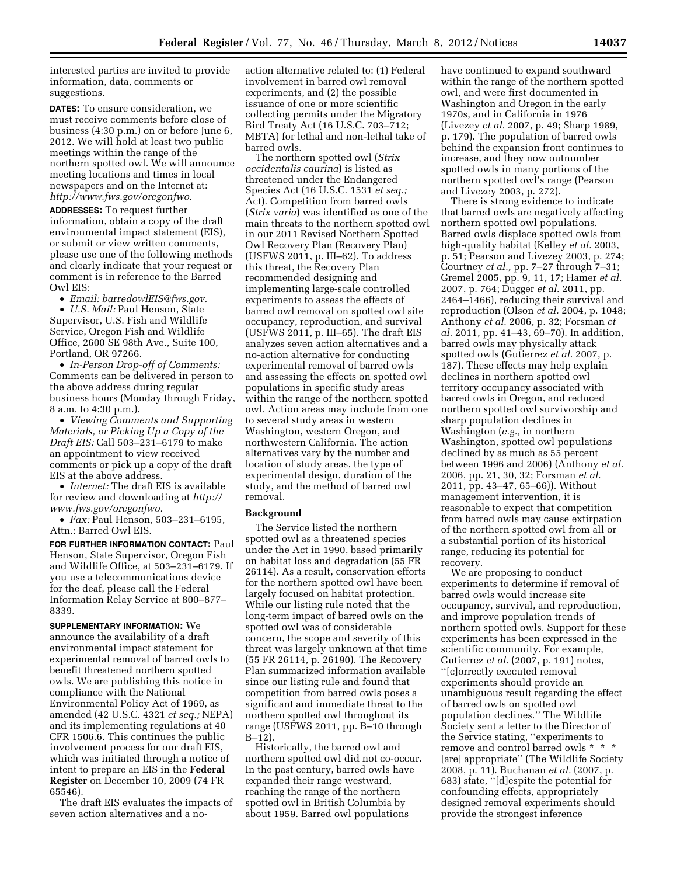interested parties are invited to provide information, data, comments or suggestions.

**DATES:** To ensure consideration, we must receive comments before close of business (4:30 p.m.) on or before June 6, 2012. We will hold at least two public meetings within the range of the northern spotted owl. We will announce meeting locations and times in local newspapers and on the Internet at: *[http://www.fws.gov/oregonfwo.](http://www.fws.gov/oregonfwo)* 

**ADDRESSES:** To request further information, obtain a copy of the draft environmental impact statement (EIS), or submit or view written comments, please use one of the following methods and clearly indicate that your request or comment is in reference to the Barred Owl EIS:

• *Email: [barredowlEIS@fws.gov.](mailto:barredowlEIS@fws.gov)* 

• *U.S. Mail:* Paul Henson, State Supervisor, U.S. Fish and Wildlife Service, Oregon Fish and Wildlife Office, 2600 SE 98th Ave., Suite 100, Portland, OR 97266.

• *In-Person Drop-off of Comments:*  Comments can be delivered in person to the above address during regular business hours (Monday through Friday, 8 a.m. to 4:30 p.m.).

• *Viewing Comments and Supporting Materials, or Picking Up a Copy of the Draft EIS:* Call 503–231–6179 to make an appointment to view received comments or pick up a copy of the draft EIS at the above address.

• *Internet:* The draft EIS is available for review and downloading at *[http://](http://www.fws.gov/oregonfwo)  [www.fws.gov/oregonfwo.](http://www.fws.gov/oregonfwo)* 

• *Fax:* Paul Henson, 503–231–6195, Attn.: Barred Owl EIS.

**FOR FURTHER INFORMATION CONTACT:** Paul Henson, State Supervisor, Oregon Fish and Wildlife Office, at 503–231–6179. If you use a telecommunications device for the deaf, please call the Federal Information Relay Service at 800–877– 8339.

**SUPPLEMENTARY INFORMATION:** We announce the availability of a draft environmental impact statement for experimental removal of barred owls to benefit threatened northern spotted owls. We are publishing this notice in compliance with the National Environmental Policy Act of 1969, as amended (42 U.S.C. 4321 *et seq.;* NEPA) and its implementing regulations at 40 CFR 1506.6. This continues the public involvement process for our draft EIS, which was initiated through a notice of intent to prepare an EIS in the **Federal Register** on December 10, 2009 (74 FR 65546).

The draft EIS evaluates the impacts of seven action alternatives and a noaction alternative related to: (1) Federal involvement in barred owl removal experiments, and (2) the possible issuance of one or more scientific collecting permits under the Migratory Bird Treaty Act (16 U.S.C. 703–712; MBTA) for lethal and non-lethal take of barred owls.

The northern spotted owl (*Strix occidentalis caurina*) is listed as threatened under the Endangered Species Act (16 U.S.C. 1531 *et seq.;*  Act). Competition from barred owls (*Strix varia*) was identified as one of the main threats to the northern spotted owl in our 2011 Revised Northern Spotted Owl Recovery Plan (Recovery Plan) (USFWS 2011, p. III–62). To address this threat, the Recovery Plan recommended designing and implementing large-scale controlled experiments to assess the effects of barred owl removal on spotted owl site occupancy, reproduction, and survival (USFWS 2011, p. III–65). The draft EIS analyzes seven action alternatives and a no-action alternative for conducting experimental removal of barred owls and assessing the effects on spotted owl populations in specific study areas within the range of the northern spotted owl. Action areas may include from one to several study areas in western Washington, western Oregon, and northwestern California. The action alternatives vary by the number and location of study areas, the type of experimental design, duration of the study, and the method of barred owl removal.

#### **Background**

The Service listed the northern spotted owl as a threatened species under the Act in 1990, based primarily on habitat loss and degradation (55 FR 26114). As a result, conservation efforts for the northern spotted owl have been largely focused on habitat protection. While our listing rule noted that the long-term impact of barred owls on the spotted owl was of considerable concern, the scope and severity of this threat was largely unknown at that time (55 FR 26114, p. 26190). The Recovery Plan summarized information available since our listing rule and found that competition from barred owls poses a significant and immediate threat to the northern spotted owl throughout its range (USFWS 2011, pp. B–10 through B–12).

Historically, the barred owl and northern spotted owl did not co-occur. In the past century, barred owls have expanded their range westward, reaching the range of the northern spotted owl in British Columbia by about 1959. Barred owl populations

have continued to expand southward within the range of the northern spotted owl, and were first documented in Washington and Oregon in the early 1970s, and in California in 1976 (Livezey *et al.* 2007, p. 49; Sharp 1989, p. 179). The population of barred owls behind the expansion front continues to increase, and they now outnumber spotted owls in many portions of the northern spotted owl's range (Pearson and Livezey 2003, p. 272).

There is strong evidence to indicate that barred owls are negatively affecting northern spotted owl populations. Barred owls displace spotted owls from high-quality habitat (Kelley *et al.* 2003, p. 51; Pearson and Livezey 2003, p. 274; Courtney *et al.,* pp. 7–27 through 7–31; Gremel 2005, pp. 9, 11, 17; Hamer *et al.*  2007, p. 764; Dugger *et al.* 2011, pp. 2464–1466), reducing their survival and reproduction (Olson *et al.* 2004, p. 1048; Anthony *et al.* 2006, p. 32; Forsman *et al.* 2011, pp. 41–43, 69–70). In addition, barred owls may physically attack spotted owls (Gutierrez *et al.* 2007, p. 187). These effects may help explain declines in northern spotted owl territory occupancy associated with barred owls in Oregon, and reduced northern spotted owl survivorship and sharp population declines in Washington (*e.g.,* in northern Washington, spotted owl populations declined by as much as 55 percent between 1996 and 2006) (Anthony *et al.*  2006, pp. 21, 30, 32; Forsman *et al.*  2011, pp. 43–47, 65–66)). Without management intervention, it is reasonable to expect that competition from barred owls may cause extirpation of the northern spotted owl from all or a substantial portion of its historical range, reducing its potential for recovery.

We are proposing to conduct experiments to determine if removal of barred owls would increase site occupancy, survival, and reproduction, and improve population trends of northern spotted owls. Support for these experiments has been expressed in the scientific community. For example, Gutierrez *et al.* (2007, p. 191) notes, ''[c]orrectly executed removal experiments should provide an unambiguous result regarding the effect of barred owls on spotted owl population declines.'' The Wildlife Society sent a letter to the Director of the Service stating, ''experiments to remove and control barred owls \* \* \* [are] appropriate'' (The Wildlife Society 2008, p. 11). Buchanan *et al.* (2007, p. 683) state, ''[d]espite the potential for confounding effects, appropriately designed removal experiments should provide the strongest inference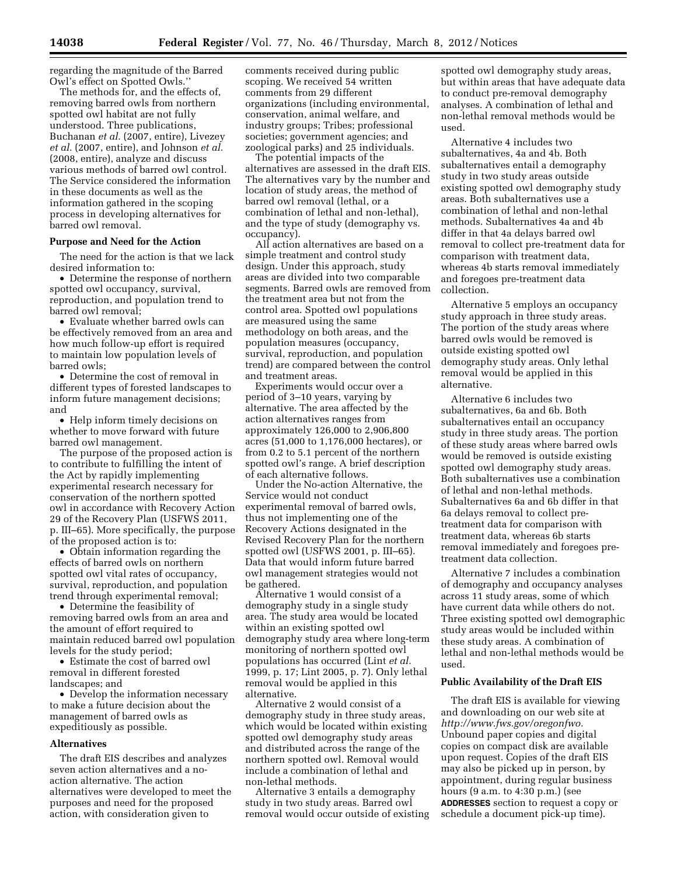regarding the magnitude of the Barred Owl's effect on Spotted Owls.''

The methods for, and the effects of, removing barred owls from northern spotted owl habitat are not fully understood. Three publications, Buchanan *et al.* (2007, entire), Livezey *et al.* (2007, entire), and Johnson *et al.*  (2008, entire), analyze and discuss various methods of barred owl control. The Service considered the information in these documents as well as the information gathered in the scoping process in developing alternatives for barred owl removal.

# **Purpose and Need for the Action**

The need for the action is that we lack desired information to:

• Determine the response of northern spotted owl occupancy, survival, reproduction, and population trend to barred owl removal;

• Evaluate whether barred owls can be effectively removed from an area and how much follow-up effort is required to maintain low population levels of barred owls;

• Determine the cost of removal in different types of forested landscapes to inform future management decisions; and

• Help inform timely decisions on whether to move forward with future barred owl management.

The purpose of the proposed action is to contribute to fulfilling the intent of the Act by rapidly implementing experimental research necessary for conservation of the northern spotted owl in accordance with Recovery Action 29 of the Recovery Plan (USFWS 2011, p. III–65). More specifically, the purpose of the proposed action is to:

• Obtain information regarding the effects of barred owls on northern spotted owl vital rates of occupancy, survival, reproduction, and population trend through experimental removal;

• Determine the feasibility of removing barred owls from an area and the amount of effort required to maintain reduced barred owl population levels for the study period;

• Estimate the cost of barred owl removal in different forested landscapes; and

• Develop the information necessary to make a future decision about the management of barred owls as expeditiously as possible.

#### **Alternatives**

The draft EIS describes and analyzes seven action alternatives and a noaction alternative. The action alternatives were developed to meet the purposes and need for the proposed action, with consideration given to

comments received during public scoping. We received 54 written comments from 29 different organizations (including environmental, conservation, animal welfare, and industry groups; Tribes; professional societies; government agencies; and zoological parks) and 25 individuals.

The potential impacts of the alternatives are assessed in the draft EIS. The alternatives vary by the number and location of study areas, the method of barred owl removal (lethal, or a combination of lethal and non-lethal), and the type of study (demography vs. occupancy).

All action alternatives are based on a simple treatment and control study design. Under this approach, study areas are divided into two comparable segments. Barred owls are removed from the treatment area but not from the control area. Spotted owl populations are measured using the same methodology on both areas, and the population measures (occupancy, survival, reproduction, and population trend) are compared between the control and treatment areas.

Experiments would occur over a period of 3–10 years, varying by alternative. The area affected by the action alternatives ranges from approximately 126,000 to 2,906,800 acres (51,000 to 1,176,000 hectares), or from 0.2 to 5.1 percent of the northern spotted owl's range. A brief description of each alternative follows.

Under the No-action Alternative, the Service would not conduct experimental removal of barred owls, thus not implementing one of the Recovery Actions designated in the Revised Recovery Plan for the northern spotted owl (USFWS 2001, p. III–65). Data that would inform future barred owl management strategies would not be gathered.

Alternative 1 would consist of a demography study in a single study area. The study area would be located within an existing spotted owl demography study area where long-term monitoring of northern spotted owl populations has occurred (Lint *et al.*  1999, p. 17; Lint 2005, p. 7). Only lethal removal would be applied in this alternative.

Alternative 2 would consist of a demography study in three study areas, which would be located within existing spotted owl demography study areas and distributed across the range of the northern spotted owl. Removal would include a combination of lethal and non-lethal methods.

Alternative 3 entails a demography study in two study areas. Barred owl removal would occur outside of existing

spotted owl demography study areas, but within areas that have adequate data to conduct pre-removal demography analyses. A combination of lethal and non-lethal removal methods would be used.

Alternative 4 includes two subalternatives, 4a and 4b. Both subalternatives entail a demography study in two study areas outside existing spotted owl demography study areas. Both subalternatives use a combination of lethal and non-lethal methods. Subalternatives 4a and 4b differ in that 4a delays barred owl removal to collect pre-treatment data for comparison with treatment data, whereas 4b starts removal immediately and foregoes pre-treatment data collection.

Alternative 5 employs an occupancy study approach in three study areas. The portion of the study areas where barred owls would be removed is outside existing spotted owl demography study areas. Only lethal removal would be applied in this alternative.

Alternative 6 includes two subalternatives, 6a and 6b. Both subalternatives entail an occupancy study in three study areas. The portion of these study areas where barred owls would be removed is outside existing spotted owl demography study areas. Both subalternatives use a combination of lethal and non-lethal methods. Subalternatives 6a and 6b differ in that 6a delays removal to collect pretreatment data for comparison with treatment data, whereas 6b starts removal immediately and foregoes pretreatment data collection.

Alternative 7 includes a combination of demography and occupancy analyses across 11 study areas, some of which have current data while others do not. Three existing spotted owl demographic study areas would be included within these study areas. A combination of lethal and non-lethal methods would be used.

#### **Public Availability of the Draft EIS**

The draft EIS is available for viewing and downloading on our web site at *[http://www.fws.gov/oregonfwo.](http://www.fws.gov/oregonfwo)*  Unbound paper copies and digital copies on compact disk are available upon request. Copies of the draft EIS may also be picked up in person, by appointment, during regular business hours (9 a.m. to 4:30 p.m.) (see **ADDRESSES** section to request a copy or schedule a document pick-up time).